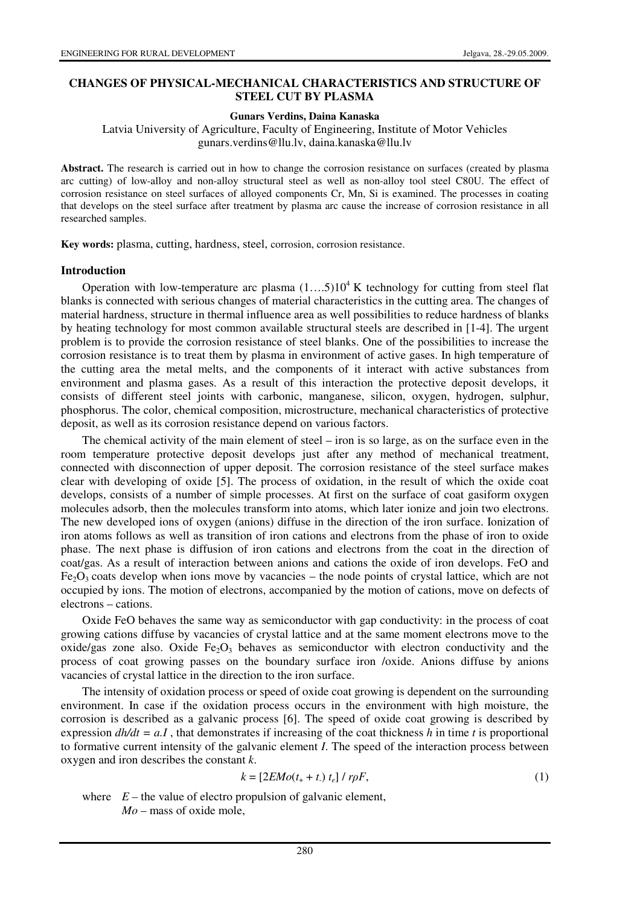# **CHANGES OF PHYSICAL-MECHANICAL CHARACTERISTICS AND STRUCTURE OF STEEL CUT BY PLASMA**

#### **Gunars Verdins, Daina Kanaska**

Latvia University of Agriculture, Faculty of Engineering, Institute of Motor Vehicles gunars.verdins@llu.lv, daina.kanaska@llu.lv

**Abstract.** The research is carried out in how to change the corrosion resistance on surfaces (created by plasma arc cutting) of low-alloy and non-alloy structural steel as well as non-alloy tool steel C80U. The effect of corrosion resistance on steel surfaces of alloyed components Cr, Mn, Si is examined. The processes in coating that develops on the steel surface after treatment by plasma arc cause the increase of corrosion resistance in all researched samples.

**Key words:** plasma, cutting, hardness, steel, corrosion, corrosion resistance.

#### **Introduction**

Operation with low-temperature arc plasma  $(1...5)10^4$  K technology for cutting from steel flat blanks is connected with serious changes of material characteristics in the cutting area. The changes of material hardness, structure in thermal influence area as well possibilities to reduce hardness of blanks by heating technology for most common available structural steels are described in [1-4]. The urgent problem is to provide the corrosion resistance of steel blanks. One of the possibilities to increase the corrosion resistance is to treat them by plasma in environment of active gases. In high temperature of the cutting area the metal melts, and the components of it interact with active substances from environment and plasma gases. As a result of this interaction the protective deposit develops, it consists of different steel joints with carbonic, manganese, silicon, oxygen, hydrogen, sulphur, phosphorus. The color, chemical composition, microstructure, mechanical characteristics of protective deposit, as well as its corrosion resistance depend on various factors.

The chemical activity of the main element of steel – iron is so large, as on the surface even in the room temperature protective deposit develops just after any method of mechanical treatment, connected with disconnection of upper deposit. The corrosion resistance of the steel surface makes clear with developing of oxide [5]. The process of oxidation, in the result of which the oxide coat develops, consists of a number of simple processes. At first on the surface of coat gasiform oxygen molecules adsorb, then the molecules transform into atoms, which later ionize and join two electrons. The new developed ions of oxygen (anions) diffuse in the direction of the iron surface. Ionization of iron atoms follows as well as transition of iron cations and electrons from the phase of iron to oxide phase. The next phase is diffusion of iron cations and electrons from the coat in the direction of coat/gas. As a result of interaction between anions and cations the oxide of iron develops. FeO and  $Fe<sub>2</sub>O<sub>3</sub>$  coats develop when ions move by vacancies – the node points of crystal lattice, which are not occupied by ions. The motion of electrons, accompanied by the motion of cations, move on defects of electrons – cations.

Oxide FeO behaves the same way as semiconductor with gap conductivity: in the process of coat growing cations diffuse by vacancies of crystal lattice and at the same moment electrons move to the oxide/gas zone also. Oxide  $Fe<sub>2</sub>O<sub>3</sub>$  behaves as semiconductor with electron conductivity and the process of coat growing passes on the boundary surface iron /oxide. Anions diffuse by anions vacancies of crystal lattice in the direction to the iron surface.

The intensity of oxidation process or speed of oxide coat growing is dependent on the surrounding environment. In case if the oxidation process occurs in the environment with high moisture, the corrosion is described as a galvanic process [6]. The speed of oxide coat growing is described by expression  $dh/dt = aI$ , that demonstrates if increasing of the coat thickness h in time t is proportional to formative current intensity of the galvanic element *I*. The speed of the interaction process between oxygen and iron describes the constant *k*.

$$
k = \left[2EMo(t_{+} + t_{}) t_{e}\right] / r\rho F, \qquad (1)
$$

where  $E$  – the value of electro propulsion of galvanic element,  $Mo$  – mass of oxide mole,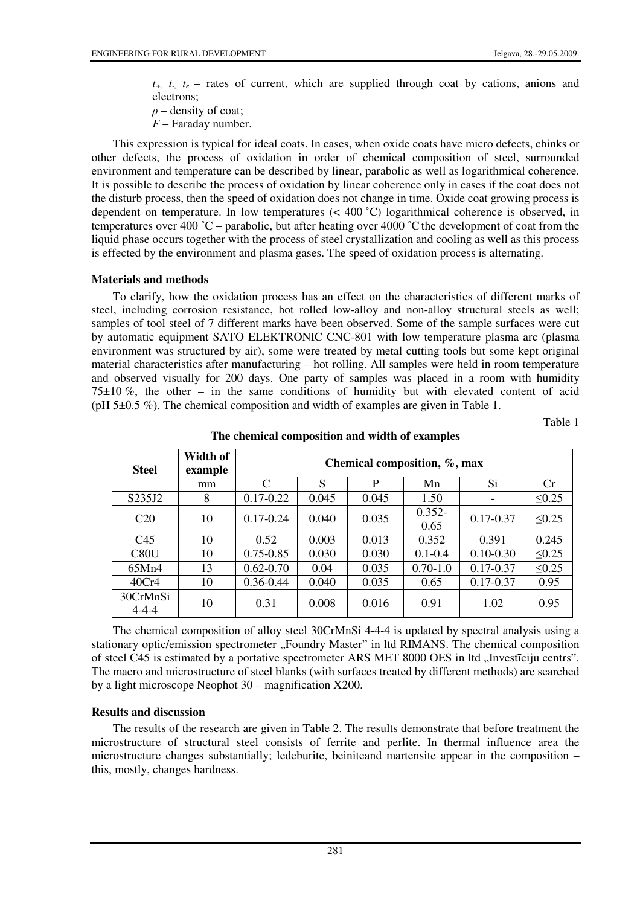$t_{+}$ ,  $t_{-}$ ,  $t_{e}$  – rates of current, which are supplied through coat by cations, anions and electrons;

 $\rho$  – density of coat;

*F* – Faraday number.

This expression is typical for ideal coats. In cases, when oxide coats have micro defects, chinks or other defects, the process of oxidation in order of chemical composition of steel, surrounded environment and temperature can be described by linear, parabolic as well as logarithmical coherence. It is possible to describe the process of oxidation by linear coherence only in cases if the coat does not the disturb process, then the speed of oxidation does not change in time. Oxide coat growing process is dependent on temperature. In low temperatures (< 400 ˚C) logarithmical coherence is observed, in temperatures over 400 ˚C – parabolic, but after heating over 4000 ˚Cthe development of coat from the liquid phase occurs together with the process of steel crystallization and cooling as well as this process is effected by the environment and plasma gases. The speed of oxidation process is alternating.

## **Materials and methods**

To clarify, how the oxidation process has an effect on the characteristics of different marks of steel, including corrosion resistance, hot rolled low-alloy and non-alloy structural steels as well; samples of tool steel of 7 different marks have been observed. Some of the sample surfaces were cut by automatic equipment SATO ELEKTRONIC CNC-801 with low temperature plasma arc (plasma environment was structured by air), some were treated by metal cutting tools but some kept original material characteristics after manufacturing – hot rolling. All samples were held in room temperature and observed visually for 200 days. One party of samples was placed in a room with humidity  $75\pm10\%$ , the other – in the same conditions of humidity but with elevated content of acid (pH 5±0.5 %). The chemical composition and width of examples are given in Table 1.

Table 1

| <b>Steel</b>            | Width of<br>example | Chemical composition, %, max |       |       |                   |               |             |  |  |
|-------------------------|---------------------|------------------------------|-------|-------|-------------------|---------------|-------------|--|--|
|                         | mm                  | $\mathcal{C}$                | S     | P     | Mn                | Si            | Cr          |  |  |
| S235J2                  | 8                   | $0.17 - 0.22$                | 0.045 | 0.045 | 1.50              |               | $\leq 0.25$ |  |  |
| C <sub>20</sub>         | 10                  | $0.17 - 0.24$                | 0.040 | 0.035 | $0.352 -$<br>0.65 | $0.17 - 0.37$ | $\leq 0.25$ |  |  |
| C <sub>45</sub>         | 10                  | 0.52                         | 0.003 | 0.013 | 0.352             | 0.391         | 0.245       |  |  |
| C80U                    | 10                  | $0.75 - 0.85$                | 0.030 | 0.030 | $0.1 - 0.4$       | $0.10 - 0.30$ | $\leq 0.25$ |  |  |
| 65Mn4                   | 13                  | $0.62 - 0.70$                | 0.04  | 0.035 | $0.70 - 1.0$      | $0.17 - 0.37$ | $\leq 0.25$ |  |  |
| 40Cr4                   | 10                  | $0.36 - 0.44$                | 0.040 | 0.035 | 0.65              | $0.17 - 0.37$ | 0.95        |  |  |
| 30CrMnSi<br>$4 - 4 - 4$ | 10                  | 0.31                         | 0.008 | 0.016 | 0.91              | 1.02          | 0.95        |  |  |

**The chemical composition and width of examples** 

The chemical composition of alloy steel 30CrMnSi 4-4-4 is updated by spectral analysis using a stationary optic/emission spectrometer "Foundry Master" in ltd RIMANS. The chemical composition of steel C45 is estimated by a portative spectrometer ARS MET 8000 OES in ltd "Investīciju centrs". The macro and microstructure of steel blanks (with surfaces treated by different methods) are searched by a light microscope Neophot 30 – magnification X200.

## **Results and discussion**

The results of the research are given in Table 2. The results demonstrate that before treatment the microstructure of structural steel consists of ferrite and perlite. In thermal influence area the microstructure changes substantially; ledeburite, beiniteand martensite appear in the composition – this, mostly, changes hardness.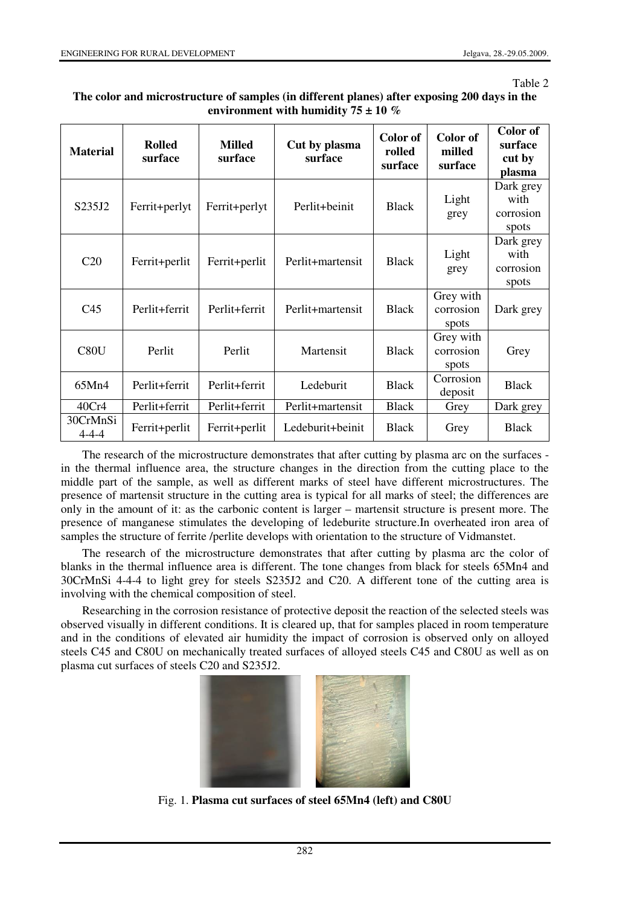#### Table 2

| The color and microstructure of samples (in different planes) after exposing 200 days in the |
|----------------------------------------------------------------------------------------------|
| environment with humidity $75 \pm 10\%$                                                      |

| <b>Material</b>         | <b>Rolled</b><br>surface | <b>Milled</b><br>surface          | Cut by plasma<br>surface | Color of<br>rolled<br>surface | Color of<br>milled<br>surface   | Color of<br>surface<br>cut by<br>plasma |
|-------------------------|--------------------------|-----------------------------------|--------------------------|-------------------------------|---------------------------------|-----------------------------------------|
| S235J2                  | Ferrit+perlyt            | Ferrit+perlyt                     | Perlit+beinit            | <b>Black</b>                  | Light<br>grey                   | Dark grey<br>with<br>corrosion<br>spots |
| C <sub>20</sub>         | Ferrit+perlit            | Perlit+martensit<br>Ferrit+perlit |                          | <b>Black</b>                  | Light<br>grey                   | Dark grey<br>with<br>corrosion<br>spots |
| C <sub>45</sub>         | Perlit+ferrit            | Perlit+ferrit                     | Perlit+martensit         | <b>Black</b>                  | Grey with<br>corrosion<br>spots | Dark grey                               |
| C80U                    | Perlit                   | Perlit                            | Martensit                | <b>Black</b>                  | Grey with<br>corrosion<br>spots | Grey                                    |
| 65Mn4                   | Perlit+ferrit            | Perlit+ferrit                     | Ledeburit                | <b>Black</b>                  | Corrosion<br>deposit            | <b>Black</b>                            |
| 40Cr4                   | Perlit+ferrit            | Perlit+ferrit                     | Perlit+martensit         | <b>Black</b>                  | Grey                            | Dark grey                               |
| 30CrMnSi<br>$4 - 4 - 4$ | Ferrit+perlit            | Ferrit+perlit                     | Ledeburit+beinit         | <b>Black</b>                  | Grey                            | <b>Black</b>                            |

The research of the microstructure demonstrates that after cutting by plasma arc on the surfaces in the thermal influence area, the structure changes in the direction from the cutting place to the middle part of the sample, as well as different marks of steel have different microstructures. The presence of martensit structure in the cutting area is typical for all marks of steel; the differences are only in the amount of it: as the carbonic content is larger – martensit structure is present more. The presence of manganese stimulates the developing of ledeburite structure.In overheated iron area of samples the structure of ferrite /perlite develops with orientation to the structure of Vidmanstet.

The research of the microstructure demonstrates that after cutting by plasma arc the color of blanks in the thermal influence area is different. The tone changes from black for steels 65Mn4 and 30CrMnSi 4-4-4 to light grey for steels S235J2 and C20. A different tone of the cutting area is involving with the chemical composition of steel.

Researching in the corrosion resistance of protective deposit the reaction of the selected steels was observed visually in different conditions. It is cleared up, that for samples placed in room temperature and in the conditions of elevated air humidity the impact of corrosion is observed only on alloyed steels C45 and C80U on mechanically treated surfaces of alloyed steels C45 and C80U as well as on plasma cut surfaces of steels C20 and S235J2.



Fig. 1. **Plasma cut surfaces of steel 65Mn4 (left) and C80U**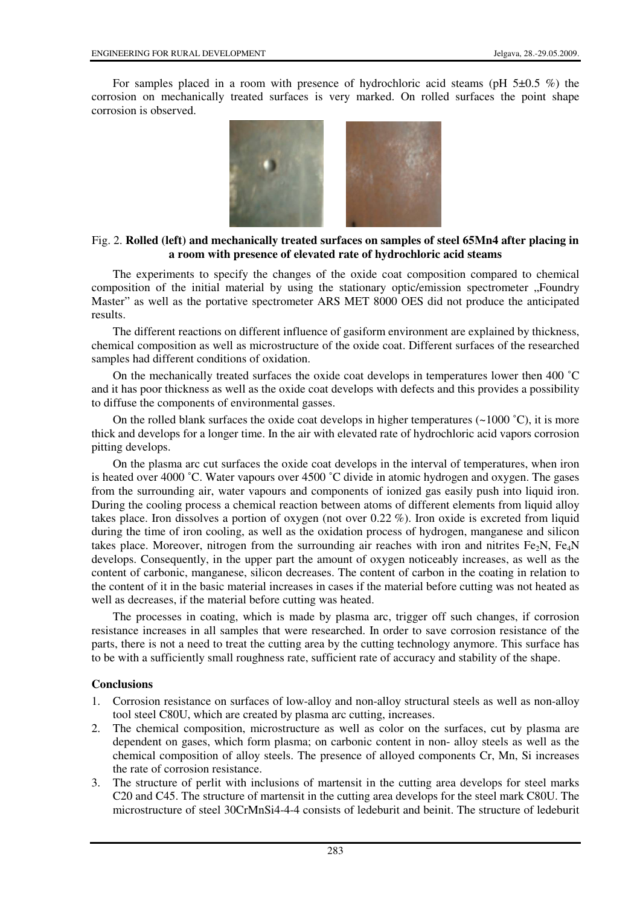For samples placed in a room with presence of hydrochloric acid steams (pH  $5\pm0.5$  %) the corrosion on mechanically treated surfaces is very marked. On rolled surfaces the point shape corrosion is observed.



## Fig. 2. **Rolled (left) and mechanically treated surfaces on samples of steel 65Mn4 after placing in a room with presence of elevated rate of hydrochloric acid steams**

The experiments to specify the changes of the oxide coat composition compared to chemical composition of the initial material by using the stationary optic/emission spectrometer "Foundry Master" as well as the portative spectrometer ARS MET 8000 OES did not produce the anticipated results.

The different reactions on different influence of gasiform environment are explained by thickness, chemical composition as well as microstructure of the oxide coat. Different surfaces of the researched samples had different conditions of oxidation.

On the mechanically treated surfaces the oxide coat develops in temperatures lower then 400 ˚C and it has poor thickness as well as the oxide coat develops with defects and this provides a possibility to diffuse the components of environmental gasses.

On the rolled blank surfaces the oxide coat develops in higher temperatures  $(\sim 1000 \degree C)$ , it is more thick and develops for a longer time. In the air with elevated rate of hydrochloric acid vapors corrosion pitting develops.

On the plasma arc cut surfaces the oxide coat develops in the interval of temperatures, when iron is heated over 4000 ˚C. Water vapours over 4500 ˚C divide in atomic hydrogen and oxygen. The gases from the surrounding air, water vapours and components of ionized gas easily push into liquid iron. During the cooling process a chemical reaction between atoms of different elements from liquid alloy takes place. Iron dissolves a portion of oxygen (not over 0.22 %). Iron oxide is excreted from liquid during the time of iron cooling, as well as the oxidation process of hydrogen, manganese and silicon takes place. Moreover, nitrogen from the surrounding air reaches with iron and nitrites Fe<sub>2</sub>N, Fe<sub>4</sub>N develops. Consequently, in the upper part the amount of oxygen noticeably increases, as well as the content of carbonic, manganese, silicon decreases. The content of carbon in the coating in relation to the content of it in the basic material increases in cases if the material before cutting was not heated as well as decreases, if the material before cutting was heated.

The processes in coating, which is made by plasma arc, trigger off such changes, if corrosion resistance increases in all samples that were researched. In order to save corrosion resistance of the parts, there is not a need to treat the cutting area by the cutting technology anymore. This surface has to be with a sufficiently small roughness rate, sufficient rate of accuracy and stability of the shape.

## **Conclusions**

- 1. Corrosion resistance on surfaces of low-alloy and non-alloy structural steels as well as non-alloy tool steel C80U, which are created by plasma arc cutting, increases.
- 2. The chemical composition, microstructure as well as color on the surfaces, cut by plasma are dependent on gases, which form plasma; on carbonic content in non- alloy steels as well as the chemical composition of alloy steels. The presence of alloyed components Cr, Mn, Si increases the rate of corrosion resistance.
- 3. The structure of perlit with inclusions of martensit in the cutting area develops for steel marks C20 and C45. The structure of martensit in the cutting area develops for the steel mark C80U. The microstructure of steel 30CrMnSi4-4-4 consists of ledeburit and beinit. The structure of ledeburit